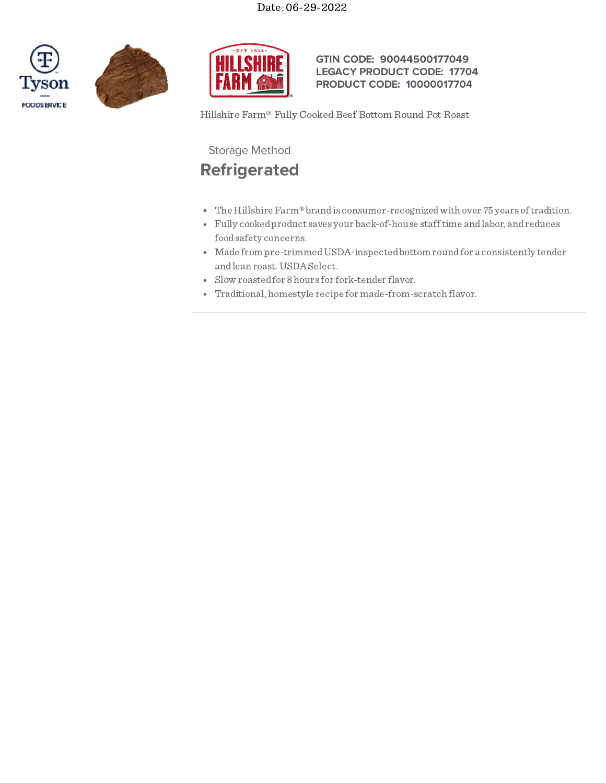





## **GTIN CODE: 90044500177049 LEGACY PRODUCT CODE: 17704 PRODUCT CODE: 10000017704**

Hillshire Farm® Fully Cooked Beef Bottom Round Pot Roast

Storage Method

## **Refrigerated**

- The Hillshire Farm® brand is consumer-recognized with over 75 years of tradition.
- Fully cookedproduct saves your back-of-house stafftime andlabor, andreduces foodsafety concerns.
- Made from pre-trimmedUSDA-inspectedbottom roundfor a consistently tender andlean roast.USDASelect.
- Slow roastedfor 8hours for fork-tender flavor.
- Traditional, homestyle recipe for made-from-scratch flavor.